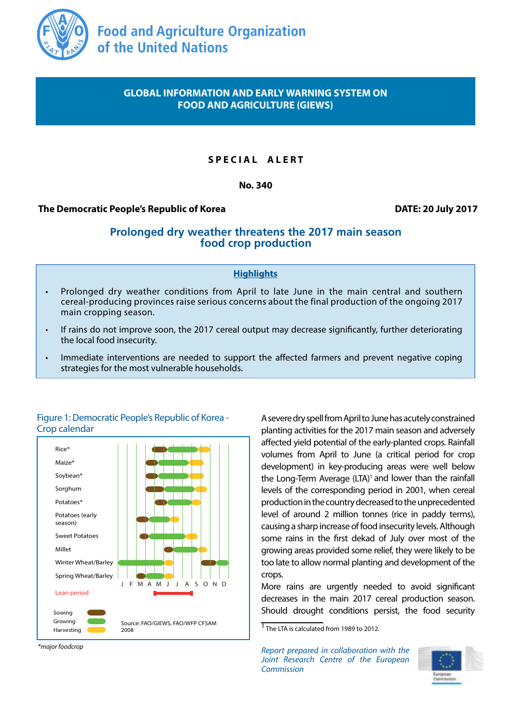

# **GLOBAL INFORMATION AND EARLY WARNING SYSTEM ON FOOD AND AGRICULTURE (GIEWS)**

# **S P E C I A L A L E R T**

# **No. 340**

 **The Democratic People's Republic of Korea DATE: 20 July 2017**

# **Prolonged dry weather threatens the 2017 main season food crop production**

# **Highlights**

- Prolonged dry weather conditions from April to late June in the main central and southern cereal-producing provinces raise serious concerns about the final production of the ongoing 2017 main cropping season.
- If rains do not improve soon, the 2017 cereal output may decrease significantly, further deteriorating the local food insecurity.
- Immediate interventions are needed to support the affected farmers and prevent negative coping strategies for the most vulnerable households.

Figure 1: Democratic People's Republic of Korea - Crop calendar



 *\*major foodcrop*

A severe dry spell from April to June has acutely constrained planting activities for the 2017 main season and adversely affected yield potential of the early-planted crops. Rainfall volumes from April to June (a critical period for crop development) in key-producing areas were well below the Long-Term Average  $(LTA)^1$  and lower than the rainfall levels of the corresponding period in 2001, when cereal production in the country decreased to the unprecedented level of around 2 million tonnes (rice in paddy terms), causing a sharp increase of food insecurity levels. Although some rains in the first dekad of July over most of the growing areas provided some relief, they were likely to be too late to allow normal planting and development of the crops.

More rains are urgently needed to avoid significant decreases in the main 2017 cereal production season. Should drought conditions persist, the food security

 $\overline{1}$  The LTA is calculated from 1989 to 2012.

*Report prepared in collaboration with the Joint Research Centre of the European Commission*

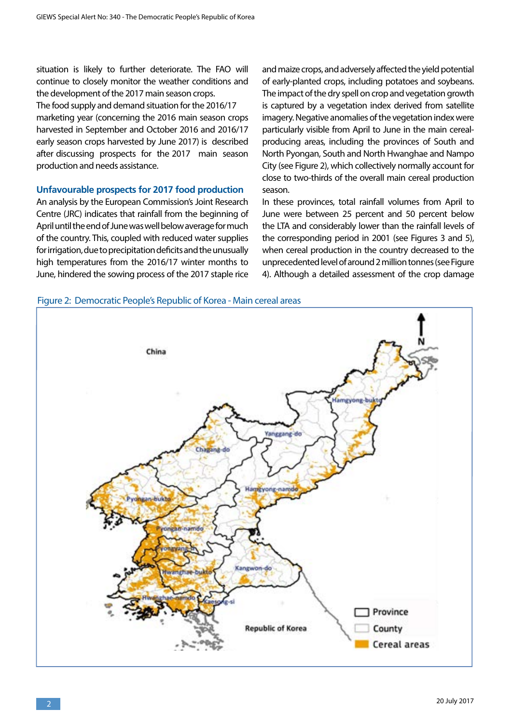situation is likely to further deteriorate. The FAO will continue to closely monitor the weather conditions and the development of the 2017 main season crops.

The food supply and demand situation for the 2016/17 marketing year (concerning the 2016 main season crops harvested in September and October 2016 and 2016/17 early season crops harvested by June 2017) is described after discussing prospects for the 2017 main season production and needs assistance.

## **Unfavourable prospects for 2017 food production**

An analysis by the European Commission's Joint Research Centre (JRC) indicates that rainfall from the beginning of April until the end of June was well below average for much of the country. This, coupled with reduced water supplies for irrigation, due to precipitation deficits and the unusually high temperatures from the 2016/17 winter months to June, hindered the sowing process of the 2017 staple rice and maize crops, and adversely affected the yield potential of early-planted crops, including potatoes and soybeans. The impact of the dry spell on crop and vegetation growth is captured by a vegetation index derived from satellite imagery. Negative anomalies of the vegetation index were particularly visible from April to June in the main cerealproducing areas, including the provinces of South and North Pyongan, South and North Hwanghae and Nampo City (see Figure 2), which collectively normally account for close to two-thirds of the overall main cereal production season.

In these provinces, total rainfall volumes from April to June were between 25 percent and 50 percent below the LTA and considerably lower than the rainfall levels of the corresponding period in 2001 (see Figures 3 and 5), when cereal production in the country decreased to the unprecedented level of around 2 million tonnes (see Figure 4). Although a detailed assessment of the crop damage

## Figure 2: Democratic People's Republic of Korea - Main cereal areas

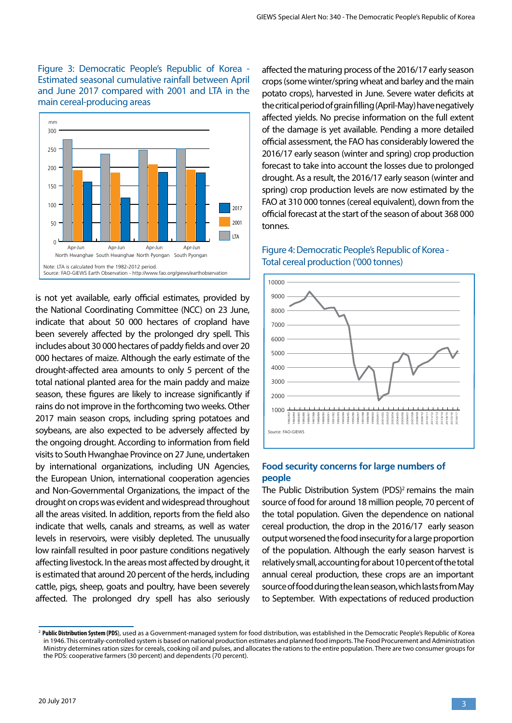# Figure 3: Democratic People's Republic of Korea - Estimated seasonal cumulative rainfall between April and June 2017 compared with 2001 and LTA in the main cereal-producing areas



is not yet available, early official estimates, provided by the National Coordinating Committee (NCC) on 23 June, indicate that about 50 000 hectares of cropland have been severely affected by the prolonged dry spell. This includes about 30 000 hectares of paddy fields and over 20 000 hectares of maize. Although the early estimate of the drought-affected area amounts to only 5 percent of the total national planted area for the main paddy and maize season, these figures are likely to increase significantly if rains do not improve in the forthcoming two weeks. Other 2017 main season crops, including spring potatoes and soybeans, are also expected to be adversely affected by the ongoing drought. According to information from field visits to South Hwanghae Province on 27 June, undertaken by international organizations, including UN Agencies, the European Union, international cooperation agencies and Non-Governmental Organizations, the impact of the drought on crops was evident and widespread throughout all the areas visited. In addition, reports from the field also indicate that wells, canals and streams, as well as water levels in reservoirs, were visibly depleted. The unusually low rainfall resulted in poor pasture conditions negatively affecting livestock. In the areas most affected by drought, it is estimated that around 20 percent of the herds, including cattle, pigs, sheep, goats and poultry, have been severely affected. The prolonged dry spell has also seriously

affected the maturing process of the 2016/17 early season crops (some winter/spring wheat and barley and the main potato crops), harvested in June. Severe water deficits at the critical period of grain filling (April-May) have negatively affected yields. No precise information on the full extent of the damage is yet available. Pending a more detailed official assessment, the FAO has considerably lowered the 2016/17 early season (winter and spring) crop production forecast to take into account the losses due to prolonged drought. As a result, the 2016/17 early season (winter and spring) crop production levels are now estimated by the FAO at 310 000 tonnes (cereal equivalent), down from the official forecast at the start of the season of about 368 000 tonnes.





# **Food security concerns for large numbers of people**

The Public Distribution System  $(PDS)^2$  remains the main source of food for around 18 million people, 70 percent of the total population. Given the dependence on national cereal production, the drop in the 2016/17 early season output worsened the food insecurity for a large proportion of the population. Although the early season harvest is relatively small, accounting for about 10 percent of the total annual cereal production, these crops are an important source of food during the lean season, which lasts from May to September. With expectations of reduced production

<sup>&</sup>lt;sup>2</sup> Public Distribution System (PDS), used as a Government-managed system for food distribution, was established in the Democratic People's Republic of Korea in 1946. This centrally-controlled system is based on national production estimates and planned food imports. The Food Procurement and Administration Ministry determines ration sizes for cereals, cooking oil and pulses, and allocates the rations to the entire population. There are two consumer groups for the PDS: cooperative farmers (30 percent) and dependents (70 percent).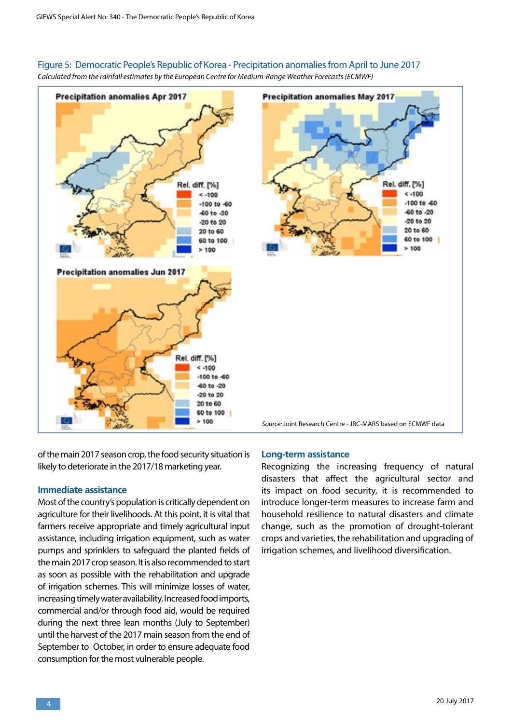

Figure 5: Democratic People's Republic of Korea - Precipitation anomalies from April to June 2017 *Calculated from the rainfall estimates by the European Centre for Medium-Range Weather Forecasts (ECMWF)*

of the main 2017 season crop, the food security situation is likely to deteriorate in the 2017/18 marketing year.

## **Immediate assistance**

Most of the country's population is critically dependent on agriculture for their livelihoods. At this point, it is vital that farmers receive appropriate and timely agricultural input assistance, including irrigation equipment, such as water pumps and sprinklers to safeguard the planted fields of the main 2017 crop season. It is also recommended to start as soon as possible with the rehabilitation and upgrade of irrigation schemes. This will minimize losses of water, increasing timely water availability. Increased food imports, commercial and/or through food aid, would be required during the next three lean months (July to September) until the harvest of the 2017 main season from the end of September to October, in order to ensure adequate food consumption for the most vulnerable people.

#### **Long-term assistance**

Recognizing the increasing frequency of natural disasters that affect the agricultural sector and its impact on food security, it is recommended to introduce longer-term measures to increase farm and household resilience to natural disasters and climate change, such as the promotion of drought-tolerant crops and varieties, the rehabilitation and upgrading of irrigation schemes, and livelihood diversification.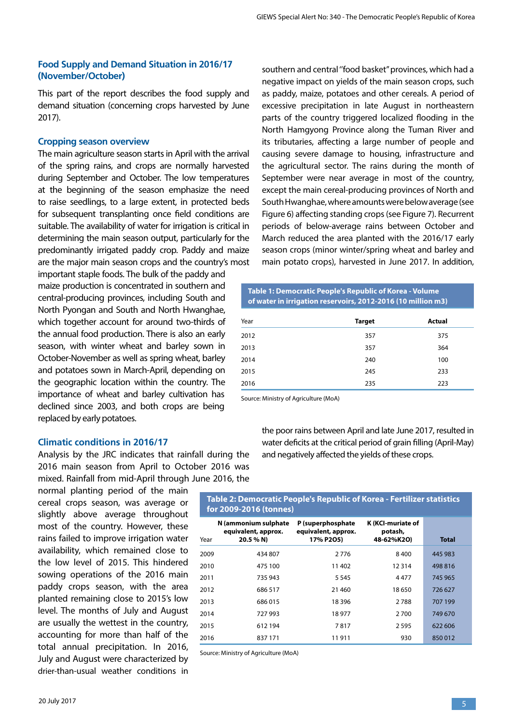# **Food Supply and Demand Situation in 2016/17 (November/October)**

This part of the report describes the food supply and demand situation (concerning crops harvested by June 2017).

## **Cropping season overview**

The main agriculture season starts in April with the arrival of the spring rains, and crops are normally harvested during September and October. The low temperatures at the beginning of the season emphasize the need to raise seedlings, to a large extent, in protected beds for subsequent transplanting once field conditions are suitable. The availability of water for irrigation is critical in determining the main season output, particularly for the predominantly irrigated paddy crop. Paddy and maize are the major main season crops and the country's most

important staple foods. The bulk of the paddy and maize production is concentrated in southern and central-producing provinces, including South and North Pyongan and South and North Hwanghae, which together account for around two-thirds of the annual food production. There is also an early season, with winter wheat and barley sown in October-November as well as spring wheat, barley and potatoes sown in March-April, depending on the geographic location within the country. The importance of wheat and barley cultivation has declined since 2003, and both crops are being replaced by early potatoes.

# southern and central ''food basket'' provinces, which had a negative impact on yields of the main season crops, such as paddy, maize, potatoes and other cereals. A period of excessive precipitation in late August in northeastern parts of the country triggered localized flooding in the North Hamgyong Province along the Tuman River and its tributaries, affecting a large number of people and causing severe damage to housing, infrastructure and the agricultural sector. The rains during the month of September were near average in most of the country, except the main cereal-producing provinces of North and South Hwanghae, where amounts were below average (see Figure 6) affecting standing crops (see Figure 7). Recurrent periods of below-average rains between October and March reduced the area planted with the 2016/17 early season crops (minor winter/spring wheat and barley and main potato crops), harvested in June 2017. In addition,

## **Table 1: Democratic People's Republic of Korea - Volume of water in irrigation reservoirs, 2012-2016 (10 million m3)**

| Year | <b>Target</b> | Actual |
|------|---------------|--------|
| 2012 | 357           | 375    |
| 2013 | 357           | 364    |
| 2014 | 240           | 100    |
| 2015 | 245           | 233    |
| 2016 | 235           | 223    |

Source: Ministry of Agriculture (MoA)

#### **Climatic conditions in 2016/17**

Analysis by the JRC indicates that rainfall during the 2016 main season from April to October 2016 was mixed. Rainfall from mid-April through June 2016, the

normal planting period of the main cereal crops season, was average or slightly above average throughout most of the country. However, these rains failed to improve irrigation water availability, which remained close to the low level of 2015. This hindered sowing operations of the 2016 main paddy crops season, with the area planted remaining close to 2015's low level. The months of July and August are usually the wettest in the country, accounting for more than half of the total annual precipitation. In 2016, July and August were characterized by drier-than-usual weather conditions in

the poor rains between April and late June 2017, resulted in water deficits at the critical period of grain filling (April-May) and negatively affected the yields of these crops.

| Table 2: Democratic People's Republic of Korea - Fertilizer statistics<br>for 2009-2016 (tonnes) |                                                          |                                                       |                                            |              |  |  |  |  |  |
|--------------------------------------------------------------------------------------------------|----------------------------------------------------------|-------------------------------------------------------|--------------------------------------------|--------------|--|--|--|--|--|
| Year                                                                                             | N (ammonium sulphate<br>equivalent, approx.<br>20.5 % N) | P (superphosphate<br>equivalent, approx.<br>17% P2O5) | K (KCI-muriate of<br>potash,<br>48-62%K2O) | <b>Total</b> |  |  |  |  |  |
| 2009                                                                                             | 434 807                                                  | 2776                                                  | 8400                                       | 445 983      |  |  |  |  |  |
| 2010                                                                                             | 475 100                                                  | 11402                                                 | 12 3 14                                    | 498 816      |  |  |  |  |  |
| 2011                                                                                             | 735 943                                                  | 5 5 4 5                                               | 4477                                       | 745 965      |  |  |  |  |  |
| 2012                                                                                             | 686 517                                                  | 21 4 60                                               | 18650                                      | 726 627      |  |  |  |  |  |
| 2013                                                                                             | 686015                                                   | 18396                                                 | 2788                                       | 707 199      |  |  |  |  |  |

2014 727 993 18 977 2 700 749 670 2015 612 194 7 817 2 595 622 606 2016 837 171 11 911 930 850 012

Source: Ministry of Agriculture (MoA)

20 July 2017 € 2017 **5 State 2018** 5 State 2018 1 State 2018 1 State 2018 1 State 2018 1 State 2018 1 State 3 St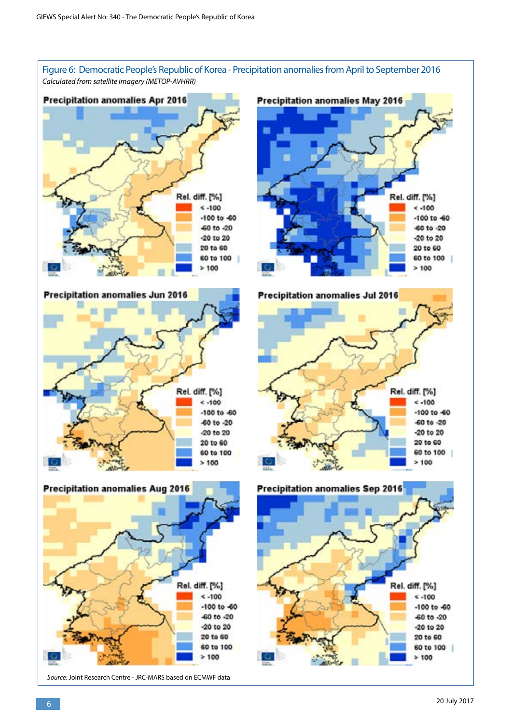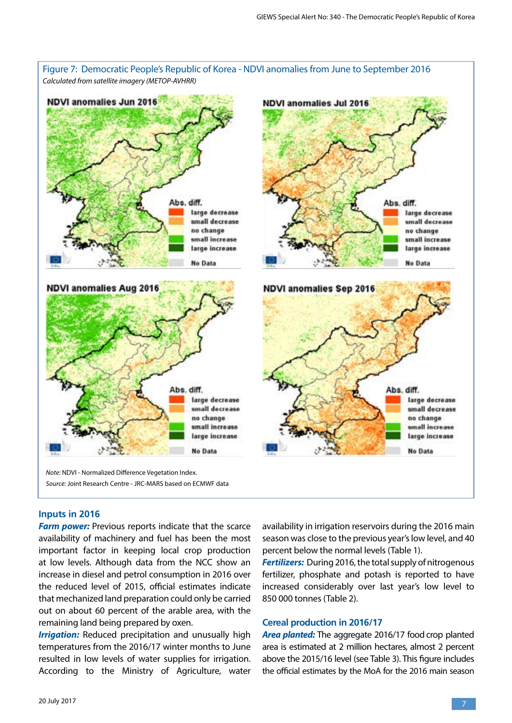

# Figure 7: Democratic People's Republic of Korea - NDVI anomalies from June to September 2016 *Calculated from satellite imagery (METOP-AVHRR)*

## **Inputs in 2016**

*Farm power: Previous reports indicate that the scarce* availability of machinery and fuel has been the most important factor in keeping local crop production at low levels. Although data from the NCC show an increase in diesel and petrol consumption in 2016 over the reduced level of 2015, official estimates indicate that mechanized land preparation could only be carried out on about 60 percent of the arable area, with the remaining land being prepared by oxen.

*Source:* Joint Research Centre - JRC-MARS based on ECMWF data

*Irrigation:* Reduced precipitation and unusually high temperatures from the 2016/17 winter months to June resulted in low levels of water supplies for irrigation. According to the Ministry of Agriculture, water

availability in irrigation reservoirs during the 2016 main season was close to the previous year's low level, and 40 percent below the normal levels (Table 1).

*Fertilizers:* During 2016, the total supply of nitrogenous fertilizer, phosphate and potash is reported to have increased considerably over last year's low level to 850 000 tonnes (Table 2).

## **Cereal production in 2016/17**

Area planted: The aggregate 2016/17 food crop planted area is estimated at 2 million hectares, almost 2 percent above the 2015/16 level (see Table 3). This figure includes the official estimates by the MoA for the 2016 main season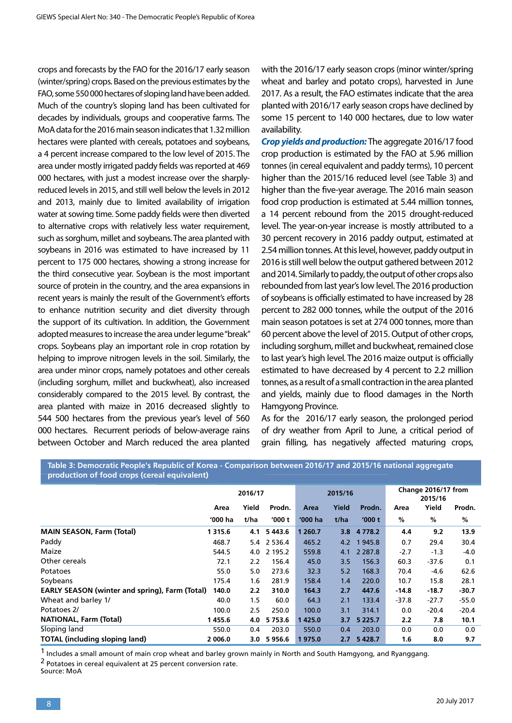crops and forecasts by the FAO for the 2016/17 early season (winter/spring) crops. Based on the previous estimates by the FAO, some 550 000 hectares of sloping land have been added. Much of the country's sloping land has been cultivated for decades by individuals, groups and cooperative farms. The MoA data for the 2016 main season indicates that 1.32 million hectares were planted with cereals, potatoes and soybeans, a 4 percent increase compared to the low level of 2015. The area under mostly irrigated paddy fields was reported at 469 000 hectares, with just a modest increase over the sharplyreduced levels in 2015, and still well below the levels in 2012 and 2013, mainly due to limited availability of irrigation water at sowing time. Some paddy fields were then diverted to alternative crops with relatively less water requirement, such as sorghum, millet and soybeans. The area planted with soybeans in 2016 was estimated to have increased by 11 percent to 175 000 hectares, showing a strong increase for the third consecutive year. Soybean is the most important source of protein in the country, and the area expansions in recent years is mainly the result of the Government's efforts to enhance nutrition security and diet diversity through the support of its cultivation. In addition, the Government adopted measures to increase the area under legume "break" crops. Soybeans play an important role in crop rotation by helping to improve nitrogen levels in the soil. Similarly, the area under minor crops, namely potatoes and other cereals (including sorghum, millet and buckwheat), also increased considerably compared to the 2015 level. By contrast, the area planted with maize in 2016 decreased slightly to 544 500 hectares from the previous year's level of 560 000 hectares. Recurrent periods of below-average rains between October and March reduced the area planted with the 2016/17 early season crops (minor winter/spring wheat and barley and potato crops), harvested in June 2017. As a result, the FAO estimates indicate that the area planted with 2016/17 early season crops have declined by some 15 percent to 140 000 hectares, due to low water availability.

*Crop yields and production:* The aggregate 2016/17 food crop production is estimated by the FAO at 5.96 million tonnes (in cereal equivalent and paddy terms), 10 percent higher than the 2015/16 reduced level (see Table 3) and higher than the five-year average. The 2016 main season food crop production is estimated at 5.44 million tonnes, a 14 percent rebound from the 2015 drought-reduced level. The year-on-year increase is mostly attributed to a 30 percent recovery in 2016 paddy output, estimated at 2.54 million tonnes. At this level, however, paddy output in 2016 is still well below the output gathered between 2012 and 2014. Similarly to paddy, the output of other crops also rebounded from last year's low level. The 2016 production of soybeans is officially estimated to have increased by 28 percent to 282 000 tonnes, while the output of the 2016 main season potatoes is set at 274 000 tonnes, more than 60 percent above the level of 2015. Output of other crops, including sorghum, millet and buckwheat, remained close to last year's high level. The 2016 maize output is officially estimated to have decreased by 4 percent to 2.2 million tonnes, as a result of a small contraction in the area planted and yields, mainly due to flood damages in the North Hamgyong Province.

As for the 2016/17 early season, the prolonged period of dry weather from April to June, a critical period of grain filling, has negatively affected maturing crops,

| production of food crops (cereal equivalent)          |             |         |           |         |                  |             |         |                                |         |  |
|-------------------------------------------------------|-------------|---------|-----------|---------|------------------|-------------|---------|--------------------------------|---------|--|
|                                                       |             | 2016/17 |           |         | 2015/16          |             |         | Change 2016/17 from<br>2015/16 |         |  |
|                                                       | Area        | Yield   | Prodn.    | Area    | Yield            | Prodn.      | Area    | Yield                          | Prodn.  |  |
|                                                       | '000 ha     | t/ha    | '000t     | '000 ha | t/ha             | '000t       | %       | %                              | %       |  |
| <b>MAIN SEASON, Farm (Total)</b>                      | 1 3 1 5 . 6 | 4.1     | 5443.6    | 1 260.7 | 3.8              | 4 7 7 8 .2  | 4.4     | 9.2                            | 13.9    |  |
| Paddy                                                 | 468.7       | 5.4     | 2 5 3 6.4 | 465.2   | 4.2              | 1945.8      | 0.7     | 29.4                           | 30.4    |  |
| Maize                                                 | 544.5       | 4.0     | 2 195.2   | 559.8   | 4.1              | 2 2 8 7 . 8 | $-2.7$  | $-1.3$                         | $-4.0$  |  |
| Other cereals                                         | 72.1        | 2.2     | 156.4     | 45.0    | 3.5              | 156.3       | 60.3    | $-37.6$                        | 0.1     |  |
| <b>Potatoes</b>                                       | 55.0        | 5.0     | 273.6     | 32.3    | 5.2              | 168.3       | 70.4    | -4.6                           | 62.6    |  |
| Soybeans                                              | 175.4       | 1.6     | 281.9     | 158.4   | 1.4              | 220.0       | 10.7    | 15.8                           | 28.1    |  |
| <b>EARLY SEASON (winter and spring), Farm (Total)</b> | 140.0       | 2.2     | 310.0     | 164.3   | 2.7              | 447.6       | $-14.8$ | $-18.7$                        | -30.7   |  |
| Wheat and barley 1/                                   | 40.0        | 1.5     | 60.0      | 64.3    | 2.1              | 133.4       | $-37.8$ | $-27.7$                        | $-55.0$ |  |
| Potatoes 2/                                           | 100.0       | 2.5     | 250.0     | 100.0   | 3.1              | 314.1       | 0.0     | $-20.4$                        | $-20.4$ |  |
| <b>NATIONAL, Farm (Total)</b>                         | 1455.6      | 4.0     | 5753.6    | 1425.0  | 3.7              | 5 2 2 5 . 7 | 2.2     | 7.8                            | 10.1    |  |
| Sloping land                                          | 550.0       | 0.4     | 203.0     | 550.0   | 0.4              | 203.0       | 0.0     | 0.0                            | 0.0     |  |
| <b>TOTAL (including sloping land)</b>                 | 2 006.0     | 3.0     | 5956.6    | 1975.0  | 2.7 <sub>2</sub> | 5428.7      | 1.6     | 8.0                            | 9.7     |  |

**Table 3: Democratic People's Republic of Korea - Comparison between 2016/17 and 2015/16 national aggregate production of food crops (cereal equivalent)**

1 Includes a small amount of main crop wheat and barley grown mainly in North and South Hamgyong, and Ryanggang.

2 Potatoes in cereal equivalent at 25 percent conversion rate. Source: MoA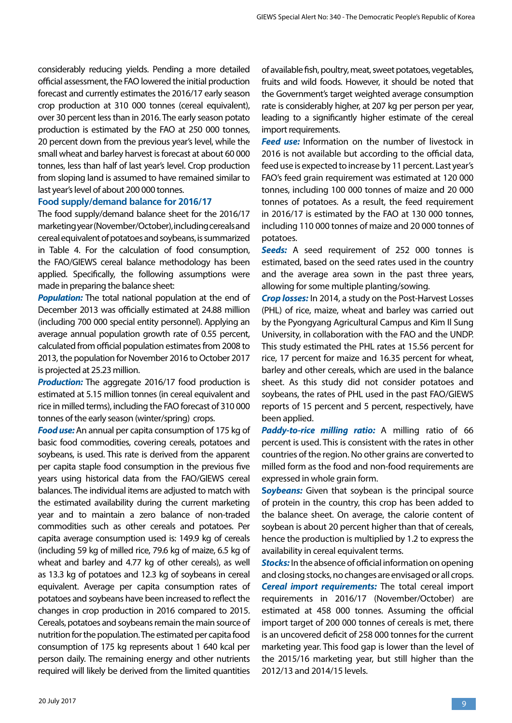considerably reducing yields. Pending a more detailed official assessment, the FAO lowered the initial production forecast and currently estimates the 2016/17 early season crop production at 310 000 tonnes (cereal equivalent), over 30 percent less than in 2016. The early season potato production is estimated by the FAO at 250 000 tonnes, 20 percent down from the previous year's level, while the small wheat and barley harvest is forecast at about 60 000 tonnes, less than half of last year's level. Crop production from sloping land is assumed to have remained similar to last year's level of about 200 000 tonnes.

## **Food supply/demand balance for 2016/17**

The food supply/demand balance sheet for the 2016/17 marketing year (November/October), including cereals and cereal equivalent of potatoes and soybeans, is summarized in Table 4. For the calculation of food consumption, the FAO/GIEWS cereal balance methodology has been applied. Specifically, the following assumptions were made in preparing the balance sheet:

**Population:** The total national population at the end of December 2013 was officially estimated at 24.88 million (including 700 000 special entity personnel). Applying an average annual population growth rate of 0.55 percent, calculated from official population estimates from 2008 to 2013, the population for November 2016 to October 2017 is projected at 25.23 million.

*Production:* The aggregate 2016/17 food production is estimated at 5.15 million tonnes (in cereal equivalent and rice in milled terms), including the FAO forecast of 310 000 tonnes of the early season (winter/spring) crops.

*Food use:* An annual per capita consumption of 175 kg of basic food commodities, covering cereals, potatoes and soybeans, is used. This rate is derived from the apparent per capita staple food consumption in the previous five years using historical data from the FAO/GIEWS cereal balances. The individual items are adjusted to match with the estimated availability during the current marketing year and to maintain a zero balance of non-traded commodities such as other cereals and potatoes. Per capita average consumption used is: 149.9 kg of cereals (including 59 kg of milled rice, 79.6 kg of maize, 6.5 kg of wheat and barley and 4.77 kg of other cereals), as well as 13.3 kg of potatoes and 12.3 kg of soybeans in cereal equivalent. Average per capita consumption rates of potatoes and soybeans have been increased to reflect the changes in crop production in 2016 compared to 2015. Cereals, potatoes and soybeans remain the main source of nutrition for the population. The estimated per capita food consumption of 175 kg represents about 1 640 kcal per person daily. The remaining energy and other nutrients required will likely be derived from the limited quantities

of available fish, poultry, meat, sweet potatoes, vegetables, fruits and wild foods. However, it should be noted that the Government's target weighted average consumption rate is considerably higher, at 207 kg per person per year, leading to a significantly higher estimate of the cereal import requirements.

**Feed use:** Information on the number of livestock in 2016 is not available but according to the official data, feed use is expected to increase by 11 percent. Last year's FAO's feed grain requirement was estimated at 120 000 tonnes, including 100 000 tonnes of maize and 20 000 tonnes of potatoes. As a result, the feed requirement in 2016/17 is estimated by the FAO at 130 000 tonnes, including 110 000 tonnes of maize and 20 000 tonnes of potatoes.

*Seeds:* A seed requirement of 252 000 tonnes is estimated, based on the seed rates used in the country and the average area sown in the past three years, allowing for some multiple planting/sowing.

*Crop losses:* In 2014, a study on the Post-Harvest Losses (PHL) of rice, maize, wheat and barley was carried out by the Pyongyang Agricultural Campus and Kim Il Sung University, in collaboration with the FAO and the UNDP. This study estimated the PHL rates at 15.56 percent for rice, 17 percent for maize and 16.35 percent for wheat, barley and other cereals, which are used in the balance sheet. As this study did not consider potatoes and soybeans, the rates of PHL used in the past FAO/GIEWS reports of 15 percent and 5 percent, respectively, have been applied.

*Paddy-to-rice milling ratio:* A milling ratio of 66 percent is used. This is consistent with the rates in other countries of the region. No other grains are converted to milled form as the food and non-food requirements are expressed in whole grain form.

**S***oybeans:* Given that soybean is the principal source of protein in the country, this crop has been added to the balance sheet. On average, the calorie content of soybean is about 20 percent higher than that of cereals, hence the production is multiplied by 1.2 to express the availability in cereal equivalent terms.

*Stocks:* In the absence of official information on opening and closing stocks, no changes are envisaged or all crops. *Cereal import requirements:* The total cereal import requirements in 2016/17 (November/October) are estimated at 458 000 tonnes. Assuming the official import target of 200 000 tonnes of cereals is met, there is an uncovered deficit of 258 000 tonnes for the current marketing year. This food gap is lower than the level of the 2015/16 marketing year, but still higher than the 2012/13 and 2014/15 levels.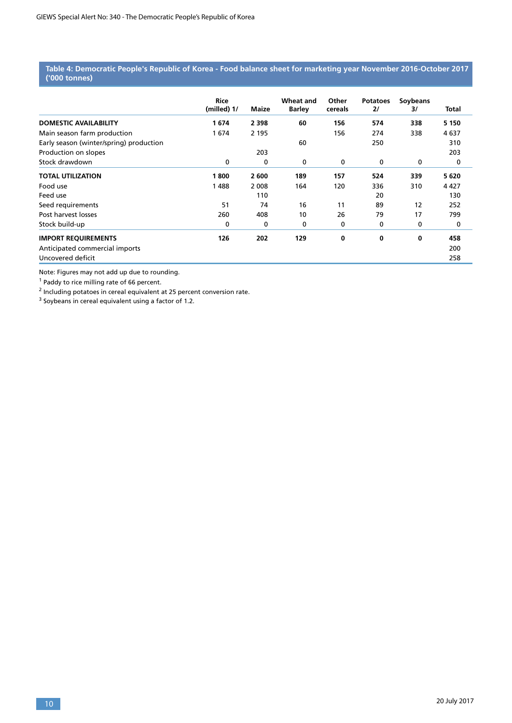## **Table 4: Democratic People's Republic of Korea - Food balance sheet for marketing year November 2016-October 2017 ('000 tonnes)**

|                                         | <b>Rice</b><br>(milled) 1/ | Maize   | <b>Wheat and</b><br><b>Barley</b> | Other<br>cereals | <b>Potatoes</b><br>21 | Soybeans<br>3/ | Total   |
|-----------------------------------------|----------------------------|---------|-----------------------------------|------------------|-----------------------|----------------|---------|
| <b>DOMESTIC AVAILABILITY</b>            | 1674                       | 2 3 9 8 | 60                                | 156              | 574                   | 338            | 5 1 5 0 |
| Main season farm production             | 1674                       | 2 1 9 5 |                                   | 156              | 274                   | 338            | 4637    |
| Early season (winter/spring) production |                            |         | 60                                |                  | 250                   |                | 310     |
| Production on slopes                    |                            | 203     |                                   |                  |                       |                | 203     |
| Stock drawdown                          | 0                          | 0       | $\mathbf 0$                       | 0                | 0                     | 0              | 0       |
| <b>TOTAL UTILIZATION</b>                | 1800                       | 2 600   | 189                               | 157              | 524                   | 339            | 5 6 20  |
| Food use                                | 1488                       | 2 0 0 8 | 164                               | 120              | 336                   | 310            | 4 4 2 7 |
| Feed use                                |                            | 110     |                                   |                  | 20                    |                | 130     |
| Seed requirements                       | 51                         | 74      | 16                                | 11               | 89                    | 12             | 252     |
| Post harvest losses                     | 260                        | 408     | 10                                | 26               | 79                    | 17             | 799     |
| Stock build-up                          | 0                          | 0       | 0                                 | 0                | 0                     | 0              | 0       |
| <b>IMPORT REQUIREMENTS</b>              | 126                        | 202     | 129                               | 0                | 0                     | 0              | 458     |
| Anticipated commercial imports          |                            |         |                                   |                  |                       |                | 200     |
| Uncovered deficit                       |                            |         |                                   |                  |                       |                | 258     |

Note: Figures may not add up due to rounding.

<sup>1</sup> Paddy to rice milling rate of 66 percent.

<sup>2</sup> Including potatoes in cereal equivalent at 25 percent conversion rate.

 $3$  Soybeans in cereal equivalent using a factor of 1.2.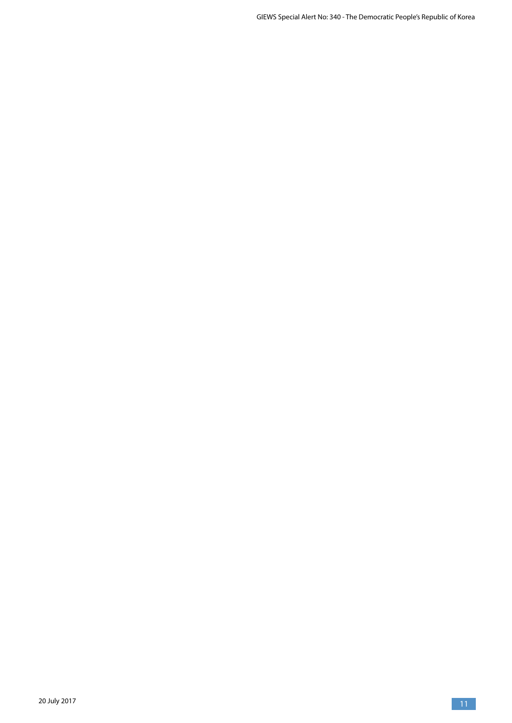GIEWS Special Alert No: 340 - The Democratic People's Republic of Korea